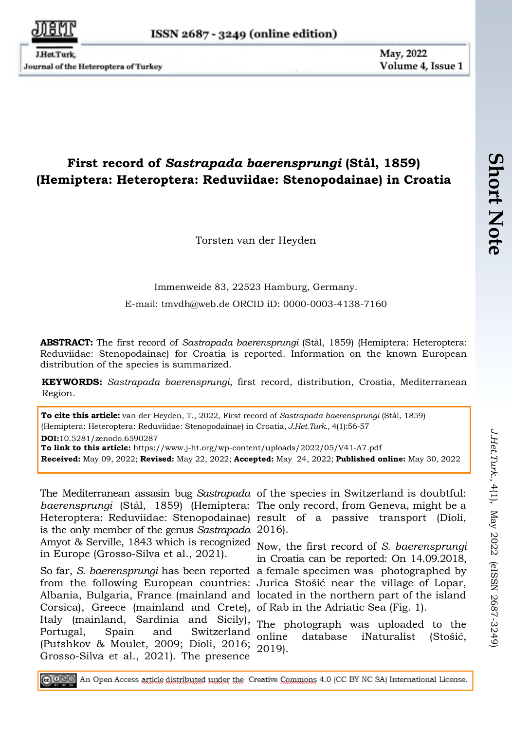Journal of the Heteroptera of Turkey

May, 2022 Volume 4, Issue 1

## **First record of** *Sastrapada baerensprungi* **(Stål, 1859) (Hemiptera: Heteroptera: Reduviidae: Stenopodainae) in Croatia**

Torsten van der Heyden

Immenweide 83, 22523 Hamburg, Germany.

E-mail: [tmvdh@web.de](mailto:tmvdh@web.de) ORCID iD: 0000-0003-4138-7160

**ABSTRACT:** The first record of *Sastrapada baerensprungi* (Stål, 1859) (Hemiptera: Heteroptera: Reduviidae: Stenopodainae) for Croatia is reported. Information on the known European distribution of the species is summarized.

**KEYWORDS:** *Sastrapada baerensprungi*, first record, distribution, Croatia, Mediterranean Region.

**To cite this article:** van der Heyden, T., 2022, First record of *Sastrapada baerensprungi* (Stål, 1859) (Hemiptera: Heteroptera: Reduviidae: Stenopodainae) in Croatia, *J.Het.Turk.,* 4(1):56-57 **DOI:**10.5281/zenodo.6590287 **To link to this article:** https://www.j-ht.org/wp-content/uploads/2022/05/V41-A7.pdf **Received:** May 09, 2022; **Revised:** May 22, 2022; **Accepted:** May 24, 2022; **Published online:** May 30, 2022

The Mediterranean assasin bug *Sastrapada* of the species in Switzerland is doubtful: *baerensprungi* (Stål, 1859) (Hemiptera: The only record, from Geneva, might be a Heteroptera: Reduviidae: Stenopodainae) result of a passive transport (Dioli, is the only member of the genus *Sastrapada* 2016). Amyot & Serville, 1843 which is recognized Now, the first record of *S. baerensprungi* in Europe (Grosso-Silva et al., 2021).

So far, *S. baerensprungi* has been reported a female specimen was photographed by from the following European countries: Jurica Stošić near the village of Lopar, Albania, Bulgaria, France (mainland and located in the northern part of the island Corsica), Greece (mainland and Crete), of Rab in the Adriatic Sea (Fig. 1). Italy (mainland, Sardinia and Sicily), rtaly (mannand, sarunna and sichy), The photograph was uploaded to the<br>Portugal, Spain and Switzerland online database iNaturalist. (Stošić (Putshkov & Moulet, 2009; Dioli, 2016; 2019).Grosso-Silva et al., 2021). The presence

in Croatia can be reported: On 14.09.2018,

online database iNaturalist (Stošić,

@060